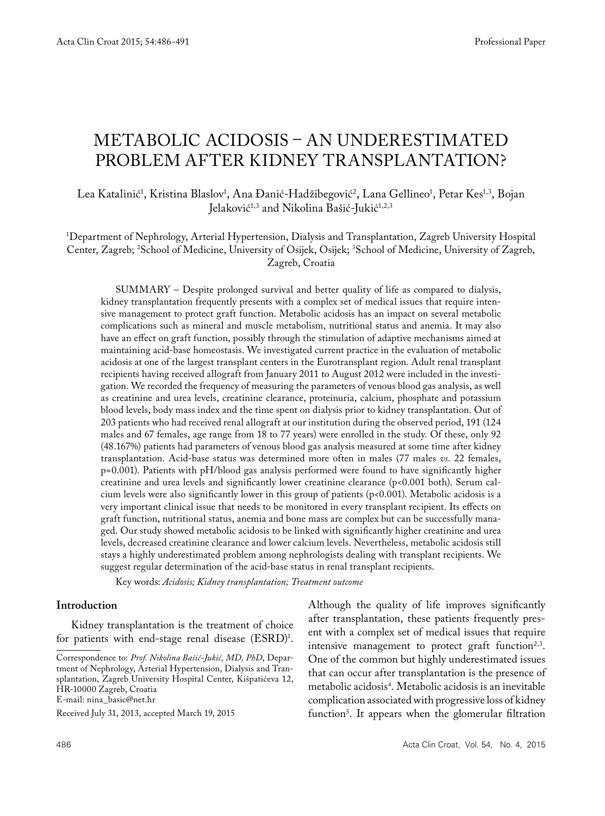# METABOLIC ACIDOSIS – AN UNDERESTIMATED PROBLEM AFTER KIDNEY TRANSPLANTATION?

Lea Katalinić<sup>1</sup>, Kristina Blaslov<sup>1</sup>, Ana Đanić-Hadžibegović<sup>2</sup>, Lana Gellineo<sup>1</sup>, Petar Kes<sup>1,3</sup>, Bojan Jelaković<sup>1,3</sup> and Nikolina Bašić-Jukić<sup>1,2,3</sup>

## 1 Department of Nephrology, Arterial Hypertension, Dialysis and Transplantation, Zagreb University Hospital Center, Zagreb; 2 School of Medicine, University of Osijek, Osijek; 3 School of Medicine, University of Zagreb, Zagreb, Croatia

SUMMARY – Despite prolonged survival and better quality of life as compared to dialysis, kidney transplantation frequently presents with a complex set of medical issues that require intensive management to protect graft function. Metabolic acidosis has an impact on several metabolic complications such as mineral and muscle metabolism, nutritional status and anemia. It may also have an effect on graft function, possibly through the stimulation of adaptive mechanisms aimed at maintaining acid-base homeostasis. We investigated current practice in the evaluation of metabolic acidosis at one of the largest transplant centers in the Eurotransplant region. Adult renal transplant recipients having received allograft from January 2011 to August 2012 were included in the investigation. We recorded the frequency of measuring the parameters of venous blood gas analysis, as well as creatinine and urea levels, creatinine clearance, proteinuria, calcium, phosphate and potassium blood levels, body mass index and the time spent on dialysis prior to kidney transplantation. Out of 203 patients who had received renal allograft at our institution during the observed period, 191 (124 males and 67 females, age range from 18 to 77 years) were enrolled in the study. Of these, only 92 (48.167%) patients had parameters of venous blood gas analysis measured at some time after kidney transplantation. Acid-base status was determined more often in males (77 males *vs*. 22 females, p=0.001). Patients with pH/blood gas analysis performed were found to have significantly higher creatinine and urea levels and significantly lower creatinine clearance (p<0.001 both). Serum calcium levels were also significantly lower in this group of patients (p<0.001). Metabolic acidosis is a very important clinical issue that needs to be monitored in every transplant recipient. Its effects on graft function, nutritional status, anemia and bone mass are complex but can be successfully managed. Our study showed metabolic acidosis to be linked with significantly higher creatinine and urea levels, decreased creatinine clearance and lower calcium levels. Nevertheless, metabolic acidosis still stays a highly underestimated problem among nephrologists dealing with transplant recipients. We suggest regular determination of the acid-base status in renal transplant recipients.

Key words: *Acidosis; Kidney transplantation; Treatment outcome*

## **Introduction**

Kidney transplantation is the treatment of choice for patients with end-stage renal disease  $(ESRD)^1$ .

E-mail: nina\_basic@net.hr

Although the quality of life improves significantly after transplantation, these patients frequently present with a complex set of medical issues that require intensive management to protect graft function<sup>2,3</sup>. One of the common but highly underestimated issues that can occur after transplantation is the presence of metabolic acidosis4 . Metabolic acidosis is an inevitable complication associated with progressive loss of kidney function5 . It appears when the glomerular filtration

Correspondence to: *Prof. Nikolina Bašić-Jukić, MD, PhD*, Department of Nephrology, Arterial Hypertension, Dialysis and Transplantation, Zagreb University Hospital Center, Kišpatićeva 12, HR-10000 Zagreb, Croatia

Received July 31, 2013, accepted March 19, 2015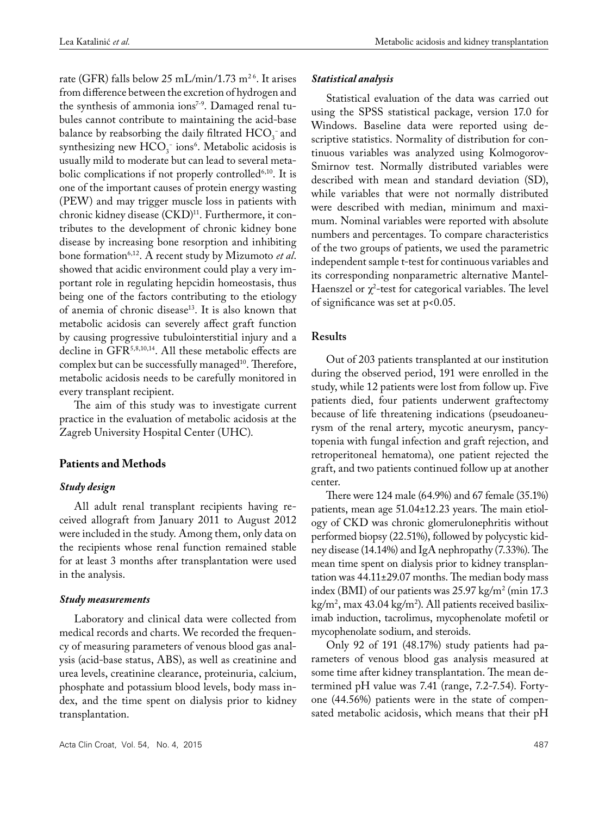rate (GFR) falls below 25 mL/min/1.73 m<sup>26</sup>. It arises from difference between the excretion of hydrogen and the synthesis of ammonia ions<sup>7-9</sup>. Damaged renal tubules cannot contribute to maintaining the acid-base balance by reabsorbing the daily filtrated  $HCO_3^-$  and synthesizing new  $\text{HCO}_3^-$  ions<sup>6</sup>. Metabolic acidosis is usually mild to moderate but can lead to several metabolic complications if not properly controlled<sup>6,10</sup>. It is one of the important causes of protein energy wasting (PEW) and may trigger muscle loss in patients with chronic kidney disease (CKD)<sup>11</sup>. Furthermore, it contributes to the development of chronic kidney bone disease by increasing bone resorption and inhibiting bone formation6,12. A recent study by Mizumoto *et al*. showed that acidic environment could play a very important role in regulating hepcidin homeostasis, thus being one of the factors contributing to the etiology of anemia of chronic disease<sup>13</sup>. It is also known that metabolic acidosis can severely affect graft function by causing progressive tubulointerstitial injury and a decline in GFR5,8,10,14. All these metabolic effects are complex but can be successfully managed<sup>10</sup>. Therefore, metabolic acidosis needs to be carefully monitored in every transplant recipient.

The aim of this study was to investigate current practice in the evaluation of metabolic acidosis at the Zagreb University Hospital Center (UHC).

## **Patients and Methods**

## *Study design*

All adult renal transplant recipients having received allograft from January 2011 to August 2012 were included in the study. Among them, only data on the recipients whose renal function remained stable for at least 3 months after transplantation were used in the analysis.

### *Study measurements*

Laboratory and clinical data were collected from medical records and charts. We recorded the frequency of measuring parameters of venous blood gas analysis (acid-base status, ABS), as well as creatinine and urea levels, creatinine clearance, proteinuria, calcium, phosphate and potassium blood levels, body mass index, and the time spent on dialysis prior to kidney transplantation.

#### *Statistical analysis*

Statistical evaluation of the data was carried out using the SPSS statistical package, version 17.0 for Windows. Baseline data were reported using descriptive statistics. Normality of distribution for continuous variables was analyzed using Kolmogorov-Smirnov test. Normally distributed variables were described with mean and standard deviation (SD), while variables that were not normally distributed were described with median, minimum and maximum. Nominal variables were reported with absolute numbers and percentages. To compare characteristics of the two groups of patients, we used the parametric independent sample t-test for continuous variables and its corresponding nonparametric alternative Mantel-Haenszel or  $\chi^2$ -test for categorical variables. The level of significance was set at p<0.05.

## **Results**

Out of 203 patients transplanted at our institution during the observed period, 191 were enrolled in the study, while 12 patients were lost from follow up. Five patients died, four patients underwent graftectomy because of life threatening indications (pseudoaneurysm of the renal artery, mycotic aneurysm, pancytopenia with fungal infection and graft rejection, and retroperitoneal hematoma), one patient rejected the graft, and two patients continued follow up at another center.

There were 124 male (64.9%) and 67 female (35.1%) patients, mean age 51.04±12.23 years. The main etiology of CKD was chronic glomerulonephritis without performed biopsy (22.51%), followed by polycystic kidney disease (14.14%) and IgA nephropathy (7.33%). The mean time spent on dialysis prior to kidney transplantation was 44.11±29.07 months. The median body mass index (BMI) of our patients was  $25.97 \text{ kg/m}^2$  (min 17.3) kg/m2 , max 43.04 kg/m2 ). All patients received basiliximab induction, tacrolimus, mycophenolate mofetil or mycophenolate sodium, and steroids.

Only 92 of 191 (48.17%) study patients had parameters of venous blood gas analysis measured at some time after kidney transplantation. The mean determined pH value was 7.41 (range, 7.2-7.54). Fortyone (44.56%) patients were in the state of compensated metabolic acidosis, which means that their pH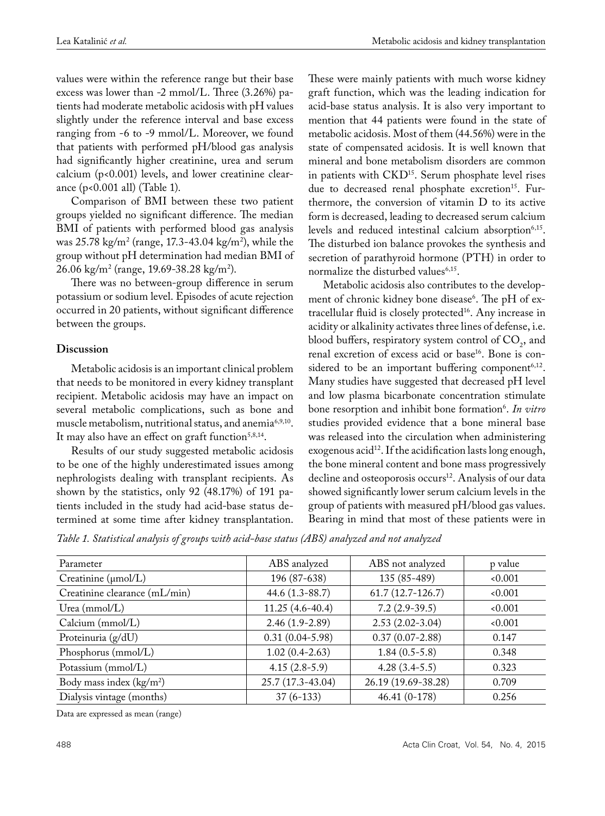values were within the reference range but their base excess was lower than -2 mmol/L. Three (3.26%) patients had moderate metabolic acidosis with pH values slightly under the reference interval and base excess ranging from -6 to -9 mmol/L. Moreover, we found that patients with performed pH/blood gas analysis had significantly higher creatinine, urea and serum calcium (p<0.001) levels, and lower creatinine clearance (p<0.001 all) (Table 1).

Comparison of BMI between these two patient groups yielded no significant difference. The median BMI of patients with performed blood gas analysis was 25.78 kg/m2 (range, 17.3-43.04 kg/m2 ), while the group without pH determination had median BMI of 26.06 kg/m2 (range, 19.69-38.28 kg/m2 ).

There was no between-group difference in serum potassium or sodium level. Episodes of acute rejection occurred in 20 patients, without significant difference between the groups.

## **Discussion**

Metabolic acidosis is an important clinical problem that needs to be monitored in every kidney transplant recipient. Metabolic acidosis may have an impact on several metabolic complications, such as bone and muscle metabolism, nutritional status, and anemia<sup>6,9,10</sup>. It may also have an effect on graft function<sup>5,8,14</sup>.

Results of our study suggested metabolic acidosis to be one of the highly underestimated issues among nephrologists dealing with transplant recipients. As shown by the statistics, only 92 (48.17%) of 191 patients included in the study had acid-base status determined at some time after kidney transplantation.

These were mainly patients with much worse kidney graft function, which was the leading indication for acid-base status analysis. It is also very important to mention that 44 patients were found in the state of metabolic acidosis. Most of them (44.56%) were in the state of compensated acidosis. It is well known that mineral and bone metabolism disorders are common in patients with CKD<sup>15</sup>. Serum phosphate level rises due to decreased renal phosphate excretion<sup>15</sup>. Furthermore, the conversion of vitamin D to its active form is decreased, leading to decreased serum calcium levels and reduced intestinal calcium absorption<sup>6,15</sup>. The disturbed ion balance provokes the synthesis and secretion of parathyroid hormone (PTH) in order to normalize the disturbed values<sup>6,15</sup>.

Metabolic acidosis also contributes to the development of chronic kidney bone disease<sup>6</sup>. The pH of extracellular fluid is closely protected<sup>16</sup>. Any increase in acidity or alkalinity activates three lines of defense, i.e. blood buffers, respiratory system control of  $CO<sub>2</sub>$ , and renal excretion of excess acid or base<sup>16</sup>. Bone is considered to be an important buffering component<sup>6,12</sup>. Many studies have suggested that decreased pH level and low plasma bicarbonate concentration stimulate bone resorption and inhibit bone formation<sup>6</sup>. In vitro studies provided evidence that a bone mineral base was released into the circulation when administering exogenous acid<sup>12</sup>. If the acidification lasts long enough, the bone mineral content and bone mass progressively decline and osteoporosis occurs<sup>12</sup>. Analysis of our data showed significantly lower serum calcium levels in the group of patients with measured pH/blood gas values. Bearing in mind that most of these patients were in

*Table 1. Statistical analysis of groups with acid-base status (ABS) analyzed and not analyzed* 

| Parameter                       | ABS analyzed        | ABS not analyzed    | p value |
|---------------------------------|---------------------|---------------------|---------|
| Creatinine $(\mu \text{mol/L})$ | 196 (87-638)        | 135 (85-489)        | 0.001   |
| Creatinine clearance (mL/min)   | 44.6 $(1.3 - 88.7)$ | $61.7(12.7-126.7)$  | 0.001   |
| Urea $(mmol/L)$                 | $11.25(4.6-40.4)$   | $7.2(2.9-39.5)$     | 0.001   |
| Calcium (mmol/L)                | $2.46(1.9-2.89)$    | $2.53(2.02-3.04)$   | 0.001   |
| Proteinuria (g/dU)              | $0.31(0.04 - 5.98)$ | $0.37(0.07-2.88)$   | 0.147   |
| Phosphorus (mmol/L)             | $1.02(0.4-2.63)$    | $1.84(0.5-5.8)$     | 0.348   |
| Potassium (mmol/L)              | $4.15(2.8-5.9)$     | $4.28(3.4-5.5)$     | 0.323   |
| Body mass index $(kg/m2)$       | 25.7 (17.3-43.04)   | 26.19 (19.69-38.28) | 0.709   |
| Dialysis vintage (months)       | $37(6-133)$         | $46.41(0-178)$      | 0.256   |

Data are expressed as mean (range)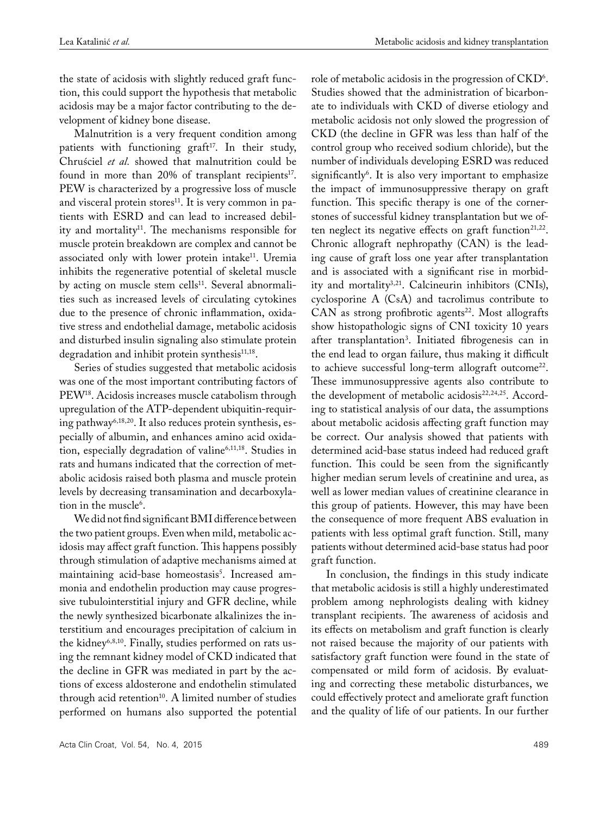role of metabolic acidosis in the progression of  $\mathrm{CKD}^6$ .

the state of acidosis with slightly reduced graft function, this could support the hypothesis that metabolic acidosis may be a major factor contributing to the development of kidney bone disease.

Malnutrition is a very frequent condition among patients with functioning graft<sup>17</sup>. In their study, Chruściel *et al.* showed that malnutrition could be found in more than 20% of transplant recipients<sup>17</sup>. PEW is characterized by a progressive loss of muscle and visceral protein stores<sup>11</sup>. It is very common in patients with ESRD and can lead to increased debility and mortality<sup>11</sup>. The mechanisms responsible for muscle protein breakdown are complex and cannot be associated only with lower protein intake<sup>11</sup>. Uremia inhibits the regenerative potential of skeletal muscle by acting on muscle stem cells<sup>11</sup>. Several abnormalities such as increased levels of circulating cytokines due to the presence of chronic inflammation, oxidative stress and endothelial damage, metabolic acidosis and disturbed insulin signaling also stimulate protein degradation and inhibit protein synthesis<sup>11,18</sup>.

Series of studies suggested that metabolic acidosis was one of the most important contributing factors of PEW18. Acidosis increases muscle catabolism through upregulation of the ATP-dependent ubiquitin-requiring pathway6,18,20. It also reduces protein synthesis, especially of albumin, and enhances amino acid oxidation, especially degradation of valine<sup>6,11,18</sup>. Studies in rats and humans indicated that the correction of metabolic acidosis raised both plasma and muscle protein levels by decreasing transamination and decarboxylation in the muscle<sup>6</sup>.

We did not find significant BMI difference between the two patient groups. Even when mild, metabolic acidosis may affect graft function. This happens possibly through stimulation of adaptive mechanisms aimed at maintaining acid-base homeostasis<sup>5</sup>. Increased ammonia and endothelin production may cause progressive tubulointerstitial injury and GFR decline, while the newly synthesized bicarbonate alkalinizes the interstitium and encourages precipitation of calcium in the kidney<sup>6,8,10</sup>. Finally, studies performed on rats using the remnant kidney model of CKD indicated that the decline in GFR was mediated in part by the actions of excess aldosterone and endothelin stimulated through acid retention<sup>10</sup>. A limited number of studies performed on humans also supported the potential Studies showed that the administration of bicarbonate to individuals with CKD of diverse etiology and metabolic acidosis not only slowed the progression of CKD (the decline in GFR was less than half of the control group who received sodium chloride), but the number of individuals developing ESRD was reduced significantly<sup>6</sup>. It is also very important to emphasize the impact of immunosuppressive therapy on graft function. This specific therapy is one of the cornerstones of successful kidney transplantation but we often neglect its negative effects on graft function<sup>21,22</sup>. Chronic allograft nephropathy (CAN) is the leading cause of graft loss one year after transplantation and is associated with a significant rise in morbidity and mortality<sup>3,21</sup>. Calcineurin inhibitors (CNIs), cyclosporine A (CsA) and tacrolimus contribute to  $CAN$  as strong profibrotic agents<sup>22</sup>. Most allografts show histopathologic signs of CNI toxicity 10 years after transplantation3 . Initiated fibrogenesis can in the end lead to organ failure, thus making it difficult to achieve successful long-term allograft outcome<sup>22</sup>. These immunosuppressive agents also contribute to the development of metabolic acidosis<sup>22,24,25</sup>. According to statistical analysis of our data, the assumptions about metabolic acidosis affecting graft function may be correct. Our analysis showed that patients with determined acid-base status indeed had reduced graft function. This could be seen from the significantly higher median serum levels of creatinine and urea, as well as lower median values of creatinine clearance in this group of patients. However, this may have been the consequence of more frequent ABS evaluation in patients with less optimal graft function. Still, many patients without determined acid-base status had poor graft function.

In conclusion, the findings in this study indicate that metabolic acidosis is still a highly underestimated problem among nephrologists dealing with kidney transplant recipients. The awareness of acidosis and its effects on metabolism and graft function is clearly not raised because the majority of our patients with satisfactory graft function were found in the state of compensated or mild form of acidosis. By evaluating and correcting these metabolic disturbances, we could effectively protect and ameliorate graft function and the quality of life of our patients. In our further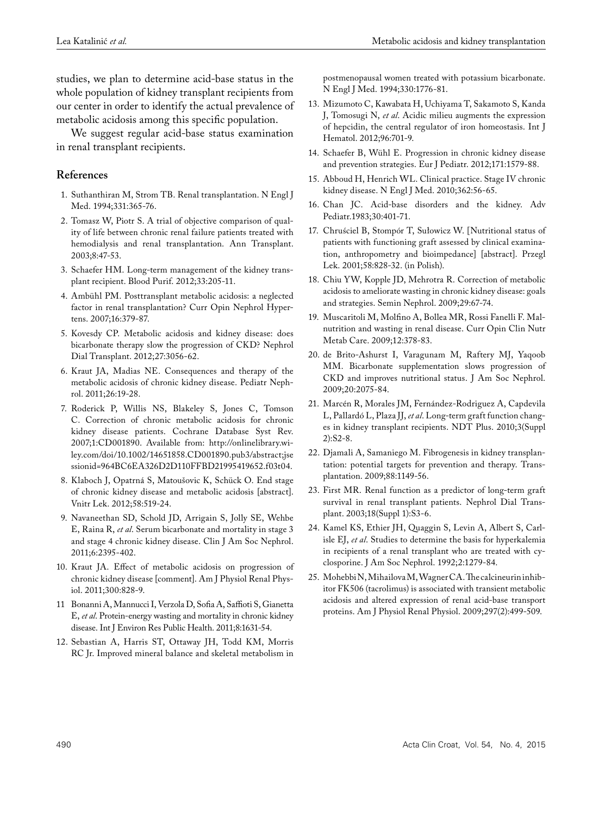studies, we plan to determine acid-base status in the whole population of kidney transplant recipients from our center in order to identify the actual prevalence of metabolic acidosis among this specific population.

We suggest regular acid-base status examination in renal transplant recipients.

## **References**

- 1. Suthanthiran M, Strom TB. Renal transplantation. N Engl J Med. 1994;331:365-76.
- 2. Tomasz W, Piotr S. A trial of objective comparison of quality of life between chronic renal failure patients treated with hemodialysis and renal transplantation. Ann Transplant. 2003;8:47-53.
- 3. Schaefer HM. Long-term management of the kidney transplant recipient. Blood Purif. 2012;33:205-11.
- 4. Ambühl PM. Posttransplant metabolic acidosis: a neglected factor in renal transplantation? Curr Opin Nephrol Hypertens. 2007;16:379-87.
- 5. Kovesdy CP. Metabolic acidosis and kidney disease: does bicarbonate therapy slow the progression of CKD? Nephrol Dial Transplant. 2012;27:3056-62.
- 6. Kraut JA, Madias NE. Consequences and therapy of the metabolic acidosis of chronic kidney disease. Pediatr Nephrol. 2011;26:19-28.
- 7. Roderick P, Willis NS, Blakeley S, Jones C, Tomson C. Correction of chronic metabolic acidosis for chronic kidney disease patients. Cochrane Database Syst Rev. 2007;1:CD001890. Available from: http://onlinelibrary.wiley.com/doi/10.1002/14651858.CD001890.pub3/abstract;jse ssionid=964BC6EA326D2D110FFBD21995419652.f03t04.
- 8. Klaboch J, Opatrná S, Matoušovic K, Schück O. End stage of chronic kidney disease and metabolic acidosis [abstract]. Vnitr Lek. 2012;58:519-24.
- 9. Navaneethan SD, Schold JD, Arrigain S, Jolly SE, Wehbe E, Raina R, *et al*. Serum bicarbonate and mortality in stage 3 and stage 4 chronic kidney disease. Clin J Am Soc Nephrol. 2011;6:2395-402.
- 10. Kraut JA. Effect of metabolic acidosis on progression of chronic kidney disease [comment]. Am J Physiol Renal Physiol. 2011;300:828-9.
- 11 Bonanni A, Mannucci I, Verzola D, Sofia A, Saffioti S, Gianetta E, *et al*. Protein-energy wasting and mortality in chronic kidney disease. Int J Environ Res Public Health. 2011;8:1631-54.
- 12. Sebastian A, Harris ST, Ottaway JH, Todd KM, Morris RC Jr. Improved mineral balance and skeletal metabolism in

postmenopausal women treated with potassium bicarbonate. N Engl J Med. 1994;330:1776-81.

- 13. Mizumoto C, Kawabata H, Uchiyama T, Sakamoto S, Kanda J, Tomosugi N, *et al*. Acidic milieu augments the expression of hepcidin, the central regulator of iron homeostasis. Int J Hematol. 2012;96:701-9.
- 14. Schaefer B, Wühl E. Progression in chronic kidney disease and prevention strategies. Eur J Pediatr. 2012;171:1579-88.
- 15. Abboud H, Henrich WL. Clinical practice. Stage IV chronic kidney disease. N Engl J Med. 2010;362:56-65.
- 16. Chan JC. Acid-base disorders and the kidney. Adv Pediatr.1983;30:401-71.
- 17. Chruściel B, Stompór T, Sułowicz W. [Nutritional status of patients with functioning graft assessed by clinical examination, anthropometry and bioimpedance] [abstract]. Przegl Lek. 2001;58:828-32. (in Polish).
- 18. Chiu YW, Kopple JD, Mehrotra R. Correction of metabolic acidosis to ameliorate wasting in chronic kidney disease: goals and strategies. Semin Nephrol. 2009;29:67-74.
- 19. Muscaritoli M, Molfino A, Bollea MR, Rossi Fanelli F. Malnutrition and wasting in renal disease. Curr Opin Clin Nutr Metab Care. 2009;12:378-83.
- 20. de Brito-Ashurst I, Varagunam M, Raftery MJ, Yaqoob MM. Bicarbonate supplementation slows progression of CKD and improves nutritional status. J Am Soc Nephrol. 2009;20:2075-84.
- 21. Marcén R, Morales JM, Fernández-Rodriguez A, Capdevila L, Pallardó L, Plaza JJ, *et al*. Long-term graft function changes in kidney transplant recipients. NDT Plus. 2010;3(Suppl 2):S2-8.
- 22. Djamali A, Samaniego M. Fibrogenesis in kidney transplantation: potential targets for prevention and therapy. Transplantation. 2009;88:1149-56.
- 23. First MR. Renal function as a predictor of long-term graft survival in renal transplant patients. Nephrol Dial Transplant. 2003;18(Suppl 1):S3-6.
- 24. Kamel KS, Ethier JH, Quaggin S, Levin A, Albert S, Carlisle EJ, *et al*. Studies to determine the basis for hyperkalemia in recipients of a renal transplant who are treated with cyclosporine. J Am Soc Nephrol. 1992;2:1279-84.
- 25. Mohebbi N, Mihailova M, Wagner CA. The calcineurin inhibitor FK506 (tacrolimus) is associated with transient metabolic acidosis and altered expression of renal acid-base transport proteins. Am J Physiol Renal Physiol. 2009;297(2):499-509.